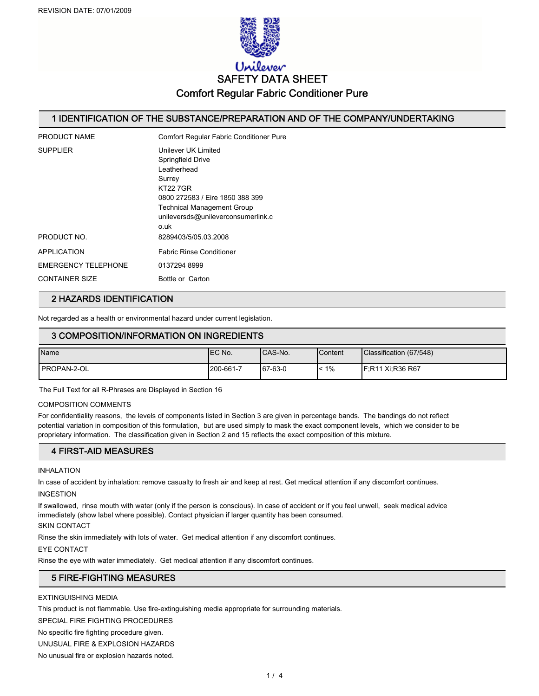

### 1 IDENTIFICATION OF THE SUBSTANCE/PREPARATION AND OF THE COMPANY/UNDERTAKING

| PRODUCT NAME          | <b>Comfort Regular Fabric Conditioner Pure</b>                                                                                                                                                             |
|-----------------------|------------------------------------------------------------------------------------------------------------------------------------------------------------------------------------------------------------|
| <b>SUPPLIER</b>       | Unilever UK Limited<br>Springfield Drive<br>I eatherhead<br>Surrey<br><b>KT227GR</b><br>0800 272583 / Eire 1850 388 399<br><b>Technical Management Group</b><br>unileversds@unileverconsumerlink.c<br>o.uk |
| PRODUCT NO.           | 8289403/5/05.03.2008                                                                                                                                                                                       |
| APPLICATION           | <b>Fabric Rinse Conditioner</b>                                                                                                                                                                            |
| EMERGENCY TELEPHONE   | 01372948999                                                                                                                                                                                                |
| <b>CONTAINER SIZE</b> | Bottle or Carton                                                                                                                                                                                           |

### 2 HAZARDS IDENTIFICATION

Not regarded as a health or environmental hazard under current legislation.

### 3 COMPOSITION/INFORMATION ON INGREDIENTS

| Name                | IEC No.    | ICAS-No. | <b>I</b> Content | Classification (67/548)  |
|---------------------|------------|----------|------------------|--------------------------|
|                     |            |          |                  |                          |
| <b>IPROPAN-2-OL</b> | 1200-661-7 | 67-63-0  | $< 1\%$          | <b>IF:R11 Xi:R36 R67</b> |

The Full Text for all R-Phrases are Displayed in Section 16

COMPOSITION COMMENTS

For confidentiality reasons, the levels of components listed in Section 3 are given in percentage bands. The bandings do not reflect potential variation in composition of this formulation, but are used simply to mask the exact component levels, which we consider to be proprietary information. The classification given in Section 2 and 15 reflects the exact composition of this mixture.

### 4 FIRST-AID MEASURES

#### INHALATION

In case of accident by inhalation: remove casualty to fresh air and keep at rest. Get medical attention if any discomfort continues.

INGESTION

If swallowed, rinse mouth with water (only if the person is conscious). In case of accident or if you feel unwell, seek medical advice immediately (show label where possible). Contact physician if larger quantity has been consumed.

SKIN CONTACT

Rinse the skin immediately with lots of water. Get medical attention if any discomfort continues.

#### EYE CONTACT

Rinse the eye with water immediately. Get medical attention if any discomfort continues.

### 5 FIRE-FIGHTING MEASURES

### EXTINGUISHING MEDIA

This product is not flammable. Use fire-extinguishing media appropriate for surrounding materials.

SPECIAL FIRE FIGHTING PROCEDURES

No specific fire fighting procedure given.

UNUSUAL FIRE & EXPLOSION HAZARDS

No unusual fire or explosion hazards noted.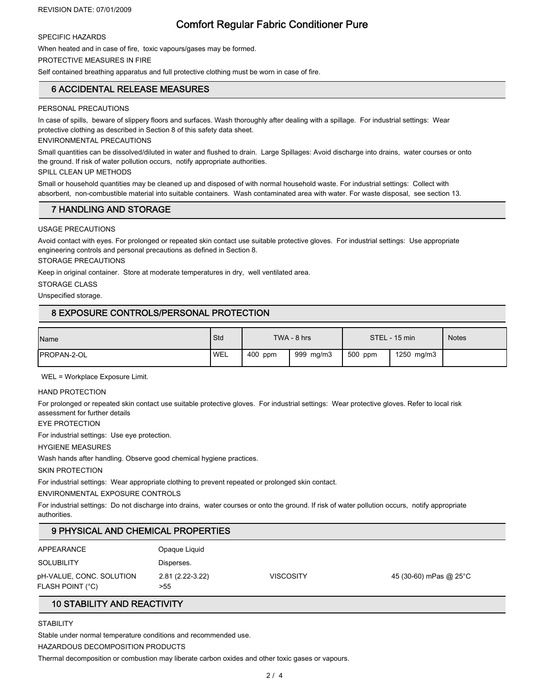# Comfort Regular Fabric Conditioner Pure

### SPECIFIC HAZARDS

When heated and in case of fire, toxic vapours/gases may be formed.

### PROTECTIVE MEASURES IN FIRE

Self contained breathing apparatus and full protective clothing must be worn in case of fire.

# 6 ACCIDENTAL RELEASE MEASURES

## PERSONAL PRECAUTIONS

In case of spills, beware of slippery floors and surfaces. Wash thoroughly after dealing with a spillage. For industrial settings: Wear protective clothing as described in Section 8 of this safety data sheet.

## ENVIRONMENTAL PRECAUTIONS

Small quantities can be dissolved/diluted in water and flushed to drain. Large Spillages: Avoid discharge into drains, water courses or onto the ground. If risk of water pollution occurs, notify appropriate authorities.

## SPILL CLEAN UP METHODS

Small or household quantities may be cleaned up and disposed of with normal household waste. For industrial settings: Collect with absorbent, non-combustible material into suitable containers. Wash contaminated area with water. For waste disposal, see section 13.

# 7 HANDLING AND STORAGE

USAGE PRECAUTIONS

Avoid contact with eyes. For prolonged or repeated skin contact use suitable protective gloves. For industrial settings: Use appropriate engineering controls and personal precautions as defined in Section 8.

STORAGE PRECAUTIONS

Keep in original container. Store at moderate temperatures in dry, well ventilated area.

STORAGE CLASS

Unspecified storage.

## 8 EXPOSURE CONTROLS/PERSONAL PROTECTION

| <b>Name</b>         | <b>Std</b> | TWA - 8 hrs |           | STEL - 15 min |            | <b>Notes</b> |
|---------------------|------------|-------------|-----------|---------------|------------|--------------|
| <b>IPROPAN-2-OL</b> | <b>WEL</b> | $400$ ppm   | 999 mg/m3 | 500 ppm       | 1250 mg/m3 |              |

WEL = Workplace Exposure Limit.

HAND PROTECTION

For prolonged or repeated skin contact use suitable protective gloves. For industrial settings: Wear protective gloves. Refer to local risk assessment for further details

EYE PROTECTION

For industrial settings: Use eye protection.

HYGIENE MEASURES

Wash hands after handling. Observe good chemical hygiene practices.

SKIN PROTECTION

For industrial settings: Wear appropriate clothing to prevent repeated or prolonged skin contact.

ENVIRONMENTAL EXPOSURE CONTROLS

For industrial settings: Do not discharge into drains, water courses or onto the ground. If risk of water pollution occurs, notify appropriate authorities.

# 9 PHYSICAL AND CHEMICAL PROPERTIES APPEARANCE Opaque Liquid SOLUBILITY Disperses. pH-VALUE, CONC. SOLUTION 2.81 (2.22-3.22) VISCOSITY 45 (30-60) mPas @ 25°C FLASH POINT (°C) >55

## 10 STABILITY AND REACTIVITY

**STABILITY** 

Stable under normal temperature conditions and recommended use.

HAZARDOUS DECOMPOSITION PRODUCTS

Thermal decomposition or combustion may liberate carbon oxides and other toxic gases or vapours.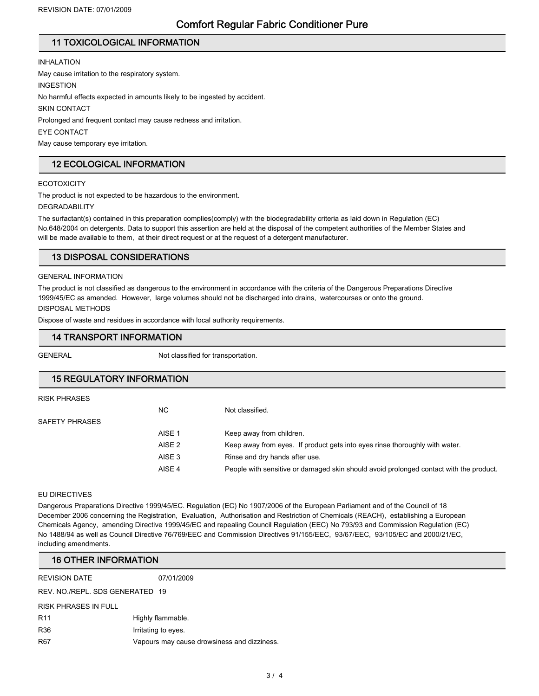# 11 TOXICOLOGICAL INFORMATION

### INHALATION

May cause irritation to the respiratory system.

INGESTION

No harmful effects expected in amounts likely to be ingested by accident.

SKIN CONTACT

Prolonged and frequent contact may cause redness and irritation.

EYE CONTACT

May cause temporary eye irritation.

# 12 ECOLOGICAL INFORMATION

### **ECOTOXICITY**

The product is not expected to be hazardous to the environment.

### DEGRADABILITY

The surfactant(s) contained in this preparation complies(comply) with the biodegradability criteria as laid down in Regulation (EC) No.648/2004 on detergents. Data to support this assertion are held at the disposal of the competent authorities of the Member States and will be made available to them, at their direct request or at the request of a detergent manufacturer.

## 13 DISPOSAL CONSIDERATIONS

### GENERAL INFORMATION

The product is not classified as dangerous to the environment in accordance with the criteria of the Dangerous Preparations Directive 1999/45/EC as amended. However, large volumes should not be discharged into drains, watercourses or onto the ground. DISPOSAL METHODS

Dispose of waste and residues in accordance with local authority requirements.

# 14 TRANSPORT INFORMATION

GENERAL **Not classified for transportation**.

| <b>15 REGULATORY INFORMATION</b> |                   |                                                                                        |  |  |
|----------------------------------|-------------------|----------------------------------------------------------------------------------------|--|--|
| <b>RISK PHRASES</b>              |                   |                                                                                        |  |  |
|                                  | NC.               | Not classified.                                                                        |  |  |
| SAFETY PHRASES                   |                   |                                                                                        |  |  |
|                                  | AISE <sub>1</sub> | Keep away from children.                                                               |  |  |
|                                  | AISE <sub>2</sub> | Keep away from eyes. If product gets into eyes rinse thoroughly with water.            |  |  |
|                                  | AISE 3            | Rinse and dry hands after use.                                                         |  |  |
|                                  | AISE <sub>4</sub> | People with sensitive or damaged skin should avoid prolonged contact with the product. |  |  |

### EU DIRECTIVES

Dangerous Preparations Directive 1999/45/EC. Regulation (EC) No 1907/2006 of the European Parliament and of the Council of 18 December 2006 concerning the Registration, Evaluation, Authorisation and Restriction of Chemicals (REACH), establishing a European Chemicals Agency, amending Directive 1999/45/EC and repealing Council Regulation (EEC) No 793/93 and Commission Regulation (EC) No 1488/94 as well as Council Directive 76/769/EEC and Commission Directives 91/155/EEC, 93/67/EEC, 93/105/EC and 2000/21/EC, including amendments.

### 16 OTHER INFORMATION

REVISION DATE 07/01/2009

REV. NO./REPL. SDS GENERATED 19

| RISK PHRASES IN FULL |                                             |
|----------------------|---------------------------------------------|
| R11                  | Highly flammable.                           |
| R36                  | Irritating to eyes.                         |
| R67                  | Vapours may cause drowsiness and dizziness. |
|                      |                                             |